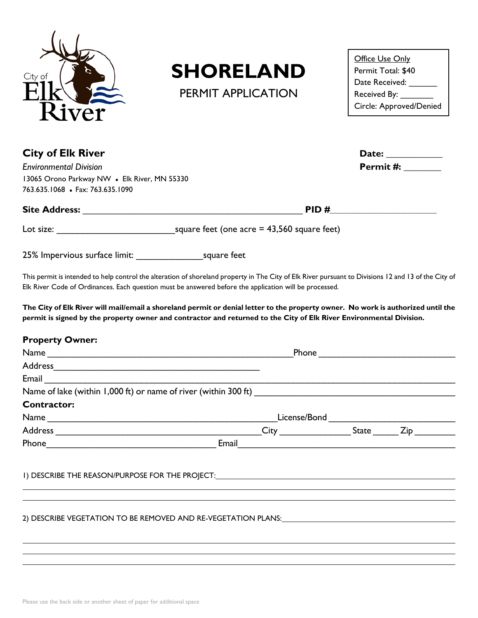

## **SHORELAND**

PERMIT APPLICATION

| Office Use Only         |
|-------------------------|
| Permit Total: \$40      |
| Date Received:          |
| Received By:            |
| Circle: Approved/Denied |

| <b>City of Elk River</b>                                                                               |                                                                                                                                                                                                                                                         |                           |  |  |  |  |  |
|--------------------------------------------------------------------------------------------------------|---------------------------------------------------------------------------------------------------------------------------------------------------------------------------------------------------------------------------------------------------------|---------------------------|--|--|--|--|--|
| <b>Environmental Division</b>                                                                          |                                                                                                                                                                                                                                                         | <b>Permit #: ________</b> |  |  |  |  |  |
| 13065 Orono Parkway NW . Elk River, MN 55330                                                           |                                                                                                                                                                                                                                                         |                           |  |  |  |  |  |
| 763.635.1068 · Fax: 763.635.1090                                                                       |                                                                                                                                                                                                                                                         |                           |  |  |  |  |  |
|                                                                                                        |                                                                                                                                                                                                                                                         |                           |  |  |  |  |  |
|                                                                                                        |                                                                                                                                                                                                                                                         |                           |  |  |  |  |  |
|                                                                                                        |                                                                                                                                                                                                                                                         |                           |  |  |  |  |  |
|                                                                                                        | This permit is intended to help control the alteration of shoreland property in The City of Elk River pursuant to Divisions 12 and 13 of the City of                                                                                                    |                           |  |  |  |  |  |
| Elk River Code of Ordinances. Each question must be answered before the application will be processed. |                                                                                                                                                                                                                                                         |                           |  |  |  |  |  |
|                                                                                                        | The City of Elk River will mail/email a shoreland permit or denial letter to the property owner. No work is authorized until the<br>permit is signed by the property owner and contractor and returned to the City of Elk River Environmental Division. |                           |  |  |  |  |  |
| <b>Property Owner:</b>                                                                                 |                                                                                                                                                                                                                                                         |                           |  |  |  |  |  |
|                                                                                                        |                                                                                                                                                                                                                                                         |                           |  |  |  |  |  |
|                                                                                                        |                                                                                                                                                                                                                                                         |                           |  |  |  |  |  |
| <b>Email</b>                                                                                           |                                                                                                                                                                                                                                                         |                           |  |  |  |  |  |
|                                                                                                        |                                                                                                                                                                                                                                                         |                           |  |  |  |  |  |
| <b>Contractor:</b>                                                                                     |                                                                                                                                                                                                                                                         |                           |  |  |  |  |  |
|                                                                                                        |                                                                                                                                                                                                                                                         |                           |  |  |  |  |  |
|                                                                                                        |                                                                                                                                                                                                                                                         |                           |  |  |  |  |  |
|                                                                                                        |                                                                                                                                                                                                                                                         |                           |  |  |  |  |  |
|                                                                                                        |                                                                                                                                                                                                                                                         |                           |  |  |  |  |  |
|                                                                                                        |                                                                                                                                                                                                                                                         |                           |  |  |  |  |  |

 $\overline{a}$ 

 $\overline{a}$ 

2) DESCRIBE VEGETATION TO BE REMOVED AND RE-VEGETATION PLANS:

 $\overline{a}$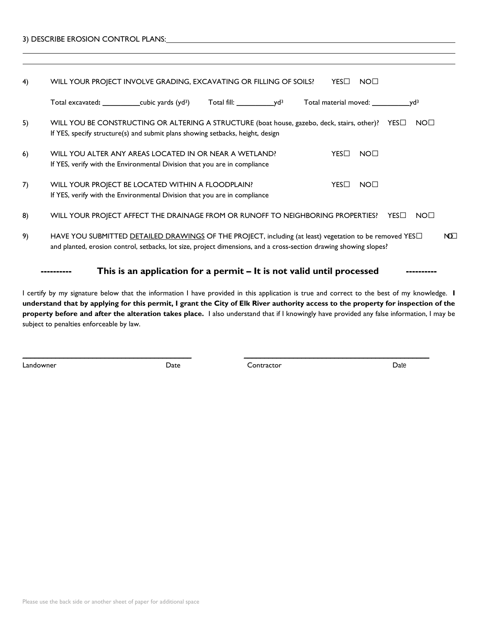| 3) DESCRIBE EROSION CONTROL PLANS: |  |
|------------------------------------|--|
|                                    |  |

 $\overline{a}$ 

| 4) | WILL YOUR PROJECT INVOLVE GRADING, EXCAVATING OR FILLING OF SOILS?<br>YES□<br>NO <sub>1</sub>                                                                                                                                                                 |
|----|---------------------------------------------------------------------------------------------------------------------------------------------------------------------------------------------------------------------------------------------------------------|
|    | Total excavated: ____________cubic yards (yd <sup>3</sup> )<br>Total fill: $y d^3$<br>Total material moved: $\frac{1}{2}$ yd <sup>3</sup>                                                                                                                     |
| 5) | NO <sub>1</sub><br>WILL YOU BE CONSTRUCTING OR ALTERING A STRUCTURE (boat house, gazebo, deck, stairs, other)? YES□<br>If YES, specify structure(s) and submit plans showing setbacks, height, design                                                         |
| 6) | NO <sub>1</sub><br>WILL YOU ALTER ANY AREAS LOCATED IN OR NEAR A WETLAND?<br>YES□<br>If YES, verify with the Environmental Division that you are in compliance                                                                                                |
| 7) | WILL YOUR PROJECT BE LOCATED WITHIN A FLOODPLAIN?<br>$YES\square$<br>NO <sub>1</sub><br>If YES, verify with the Environmental Division that you are in compliance                                                                                             |
| 8) | WILL YOUR PROJECT AFFECT THE DRAINAGE FROM OR RUNOFF TO NEIGHBORING PROPERTIES?<br>NO <sub>1</sub><br>$YES\Box$                                                                                                                                               |
| 9) | HAVE YOU SUBMITTED DETAILED DRAWINGS OF THE PROJECT, including (at least) vegetation to be removed YES <sup>[1]</sup><br>NO <sub>1</sub><br>and planted, erosion control, setbacks, lot size, project dimensions, and a cross-section drawing showing slopes? |
|    | This is an application for a permit – It is not valid until processed                                                                                                                                                                                         |

I certify by my signature below that the information I have provided in this application is true and correct to the best of my knowledge. **I understand that by applying for this permit, I grant the City of Elk River authority access to the property for inspection of the property before and after the alteration takes place.** I also understand that if I knowingly have provided any false information, I may be subject to penalties enforceable by law.

\_\_\_\_\_\_\_\_\_\_\_\_\_\_\_\_\_\_\_\_\_\_\_\_\_\_\_\_\_\_\_\_\_\_\_\_\_\_\_\_\_ \_\_\_\_\_\_\_\_\_\_\_\_\_\_\_\_\_\_\_\_\_\_\_\_\_\_\_\_\_\_\_\_\_\_\_\_\_\_\_\_\_\_\_\_\_

Landowner Date Contractor Date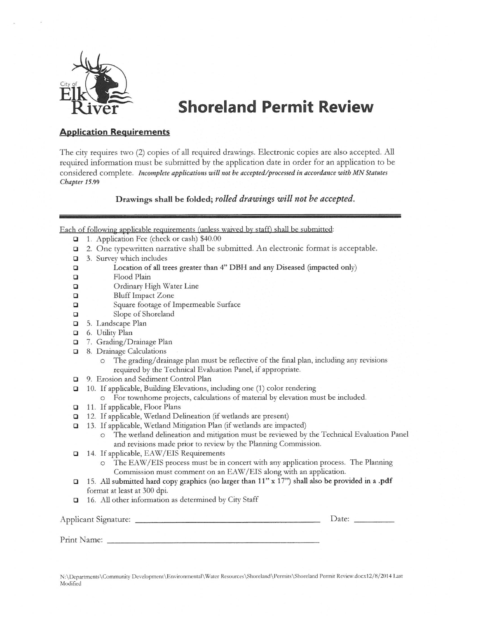

## **Shoreland Permit Review**

## **Application Requirements**

The city requires two (2) copies of all required drawings. Electronic copies are also accepted. All required information must be submitted by the application date in order for an application to be considered complete. Incomplete applications will not be accepted/processed in accordance with MN Statutes Chapter 15.99

Drawings shall be folded; rolled drawings will not be accepted.

Each of following applicable requirements (unless waived by staff) shall be submitted:

- 1. Application Fee (check or cash) \$40.00
- 2. One typewritten narrative shall be submitted. An electronic format is acceptable.  $\Box$
- $\Box$ 3. Survey which includes
- Location of all trees greater than 4" DBH and any Diseased (impacted only)  $\Box$
- $\Box$ Flood Plain
- $\Box$ Ordinary High Water Line
- $\Box$ **Bluff Impact Zone**
- $\Box$ Square footage of Impermeable Surface
- $\Box$ Slope of Shoreland
- 5. Landscape Plan  $\Box$
- G. Utility Plan

Print Name:

- $\Box$ 7. Grading/Drainage Plan
- $\Box$ 8. Drainage Calculations
	- The grading/drainage plan must be reflective of the final plan, including any revisions  $\circ$ required by the Technical Evaluation Panel, if appropriate.
- 9. Erosion and Sediment Control Plan  $\Box$
- $\Box$ 10. If applicable, Building Elevations, including one (1) color rendering
- o For townhome projects, calculations of material by elevation must be included.
- 11. If applicable, Floor Plans
- 12. If applicable, Wetland Delineation (if wetlands are present)
- 13. If applicable, Wetland Mitigation Plan (if wetlands are impacted)  $\Box$ 
	- The wetland delineation and mitigation must be reviewed by the Technical Evaluation Panel  $\circ$ and revisions made prior to review by the Planning Commission.
- 14. If applicable, EAW/EIS Requirements  $\Box$ 
	- The EAW/EIS process must be in concert with any application process. The Planning  $\circ$ Commission must comment on an EAW/EIS along with an application.
- 15. All submitted hard copy graphics (no larger than 11" x 17") shall also be provided in a .pdf  $\Box$ format at least at 300 dpi.
- 16. All other information as determined by City Staff  $\Box$

| Applicant Signature: |  |  |  |  | $\mathcal{Q}$ ate: |  |
|----------------------|--|--|--|--|--------------------|--|
|                      |  |  |  |  |                    |  |

N:\Departments\Community Development\Environmental\Water Resources\Shoreland\Permits\Shoreland Permit Review.docx12/8/2014 Last Modified